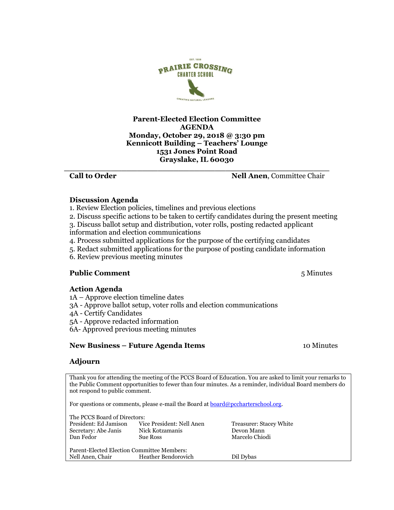### **Parent-Elected Election Committee AGENDA Monday, October 29, 2018 @ 3:30 pm Kennicott Building – Teachers' Lounge 1531 Jones Point Road Grayslake, IL 60030 \_\_\_\_\_\_\_\_\_\_\_\_\_\_\_\_\_\_\_\_\_\_\_\_\_\_\_\_\_\_\_\_\_\_\_\_\_\_\_\_\_\_\_\_\_\_\_\_\_\_\_**

**EST. 1999** 

**Call to Order Service Chair Service Chair Service Chair Service Chair Service Chair Service Chair Service Chair** 

## **Discussion Agenda**

- 1. Review Election policies, timelines and previous elections
- 2. Discuss specific actions to be taken to certify candidates during the present meeting
- 3. Discuss ballot setup and distribution, voter rolls, posting redacted applicant information and election communications
- 4. Process submitted applications for the purpose of the certifying candidates
- 5. Redact submitted applications for the purpose of posting candidate information
- 6. Review previous meeting minutes

# **Public Comment** 5 Minutes

### **Action Agenda**

- 1A Approve election timeline dates
- 3A Approve ballot setup, voter rolls and election communications
- 4A Certify Candidates
- 5A Approve redacted information
- 6A- Approved previous meeting minutes

### **New Business – Future Agenda Items** 10 Minutes

#### **Adjourn**

Thank you for attending the meeting of the PCCS Board of Education. You are asked to limit your remarks to the Public Comment opportunities to fewer than four minutes. As a reminder, individual Board members do not respond to public comment.

For questions or comments, please e-mail the Board at  $\frac{\text{board@pecharterschool.org}}{\text{long}}$ .

| The PCCS Board of Directors:               |                           |                         |
|--------------------------------------------|---------------------------|-------------------------|
| President: Ed Jamison                      | Vice President: Nell Anen | Treasurer: Stacey White |
| Secretary: Abe Janis                       | Nick Kotzamanis           | Devon Mann              |
| Dan Fedor                                  | <b>Sue Ross</b>           | Marcelo Chiodi          |
|                                            |                           |                         |
| Parent-Elected Election Committee Members: |                           |                         |
| Nell Anen, Chair                           | Heather Bendorovich       | Dil Dybas               |